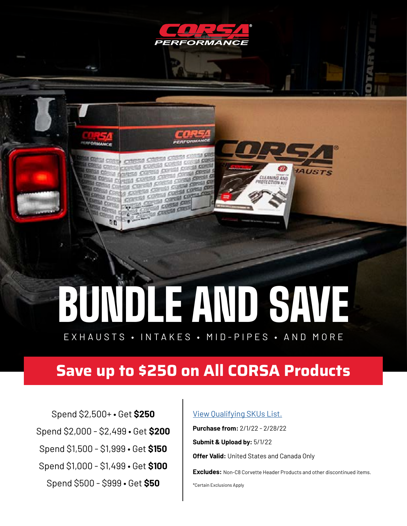

# BUNDLE AND SAVE

EXHAUSTS • INTAKES • MID-PIPES • AND MORE

## **Save up to \$250 on All CORSA Products**

Spend \$2,500+ • Get **\$250** Spend \$2,000 - \$2,499 • Get **\$200** Spend \$1,500 - \$1,999 • Get **\$150** Spend \$1,000 - \$1,499 • Get **\$100** Spend \$500 - \$999 • Get **\$50**

**RFORMANCE** 

90

#### [View Qualifying SKUs List.](https://cdn.shopify.com/s/files/1/1885/9927/files/February_Qualifying_SKUs_Excel_Sheet.pdf?v=1642105401)

**Purchase from:** 2/1/22 - 2/28/22

**Submit & Upload by:** 5/1/22

**Offer Valid:** United States and Canada Only

**Excludes:** Non-C8 Corvette Header Products and other discontinued items.

**AUSTS** 

**CLEANING AND**<br>ROTECTION KIT

\*Certain Exclusions Apply